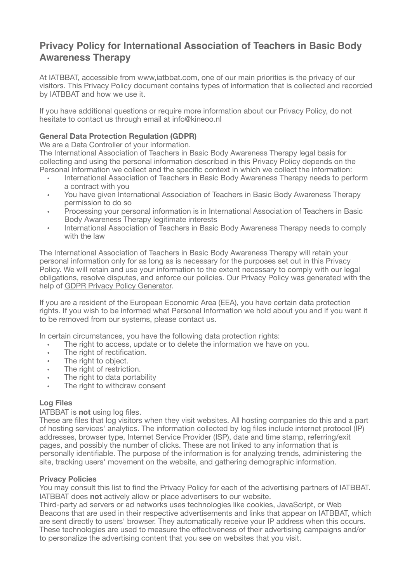# **Privacy Policy for International Association of Teachers in Basic Body Awareness Therapy**

At IATBBAT, accessible from www,iatbbat.com, one of our main priorities is the privacy of our visitors. This Privacy Policy document contains types of information that is collected and recorded by IATBBAT and how we use it.

If you have additional questions or require more information about our Privacy Policy, do not hesitate to contact us through email at info@kineoo.nl

## **General Data Protection Regulation (GDPR)**

We are a Data Controller of your information.

The International Association of Teachers in Basic Body Awareness Therapy legal basis for collecting and using the personal information described in this Privacy Policy depends on the Personal Information we collect and the specific context in which we collect the information:

- International Association of Teachers in Basic Body Awareness Therapy needs to perform a contract with you
- You have given International Association of Teachers in Basic Body Awareness Therapy permission to do so
- Processing your personal information is in International Association of Teachers in Basic Body Awareness Therapy legitimate interests
- International Association of Teachers in Basic Body Awareness Therapy needs to comply with the law

The International Association of Teachers in Basic Body Awareness Therapy will retain your personal information only for as long as is necessary for the purposes set out in this Privacy Policy. We will retain and use your information to the extent necessary to comply with our legal obligations, resolve disputes, and enforce our policies. Our Privacy Policy was generated with the help of [GDPR Privacy Policy Generator.](https://www.gdprprivacynotice.com/)

If you are a resident of the European Economic Area (EEA), you have certain data protection rights. If you wish to be informed what Personal Information we hold about you and if you want it to be removed from our systems, please contact us.

In certain circumstances, you have the following data protection rights:

- The right to access, update or to delete the information we have on you.
- The right of rectification.
- The right to object.
- The right of restriction.
- The right to data portability
- The right to withdraw consent

## **Log Files**

## IATBBAT is **not** using log files.

These are files that log visitors when they visit websites. All hosting companies do this and a part of hosting services' analytics. The information collected by log files include internet protocol (IP) addresses, browser type, Internet Service Provider (ISP), date and time stamp, referring/exit pages, and possibly the number of clicks. These are not linked to any information that is personally identifiable. The purpose of the information is for analyzing trends, administering the site, tracking users' movement on the website, and gathering demographic information.

## **Privacy Policies**

You may consult this list to find the Privacy Policy for each of the advertising partners of IATBBAT. IATBBAT does **not** actively allow or place advertisers to our website.

Third-party ad servers or ad networks uses technologies like cookies, JavaScript, or Web Beacons that are used in their respective advertisements and links that appear on IATBBAT, which are sent directly to users' browser. They automatically receive your IP address when this occurs. These technologies are used to measure the effectiveness of their advertising campaigns and/or to personalize the advertising content that you see on websites that you visit.